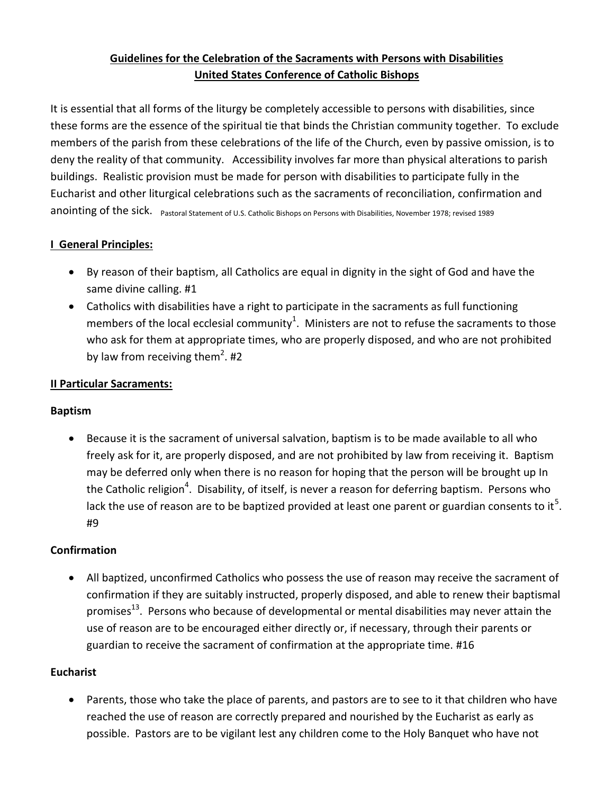# **Guidelines for the Celebration of the Sacraments with Persons with Disabilities United States Conference of Catholic Bishops**

It is essential that all forms of the liturgy be completely accessible to persons with disabilities, since these forms are the essence of the spiritual tie that binds the Christian community together. To exclude members of the parish from these celebrations of the life of the Church, even by passive omission, is to deny the reality of that community. Accessibility involves far more than physical alterations to parish buildings. Realistic provision must be made for person with disabilities to participate fully in the Eucharist and other liturgical celebrations such as the sacraments of reconciliation, confirmation and anointing of the sick. Pastoral Statement of U.S. Catholic Bishops on Persons with Disabilities, November 1978; revised 1989

## **I General Principles:**

- By reason of their baptism, all Catholics are equal in dignity in the sight of God and have the same divine calling. #1
- Catholics with disabilities have a right to participate in the sacraments as full functioning members of the local ecclesial community<sup>1</sup>. Ministers are not to refuse the sacraments to those who ask for them at appropriate times, who are properly disposed, and who are not prohibited by law from receiving them<sup>2</sup>. #2

### **II Particular Sacraments:**

#### **Baptism**

 Because it is the sacrament of universal salvation, baptism is to be made available to all who freely ask for it, are properly disposed, and are not prohibited by law from receiving it. Baptism may be deferred only when there is no reason for hoping that the person will be brought up In the Catholic religion<sup>4</sup>. Disability, of itself, is never a reason for deferring baptism. Persons who lack the use of reason are to be baptized provided at least one parent or guardian consents to it<sup>5</sup>. #9

#### **Confirmation**

 All baptized, unconfirmed Catholics who possess the use of reason may receive the sacrament of confirmation if they are suitably instructed, properly disposed, and able to renew their baptismal promises<sup>13</sup>. Persons who because of developmental or mental disabilities may never attain the use of reason are to be encouraged either directly or, if necessary, through their parents or guardian to receive the sacrament of confirmation at the appropriate time. #16

#### **Eucharist**

 Parents, those who take the place of parents, and pastors are to see to it that children who have reached the use of reason are correctly prepared and nourished by the Eucharist as early as possible. Pastors are to be vigilant lest any children come to the Holy Banquet who have not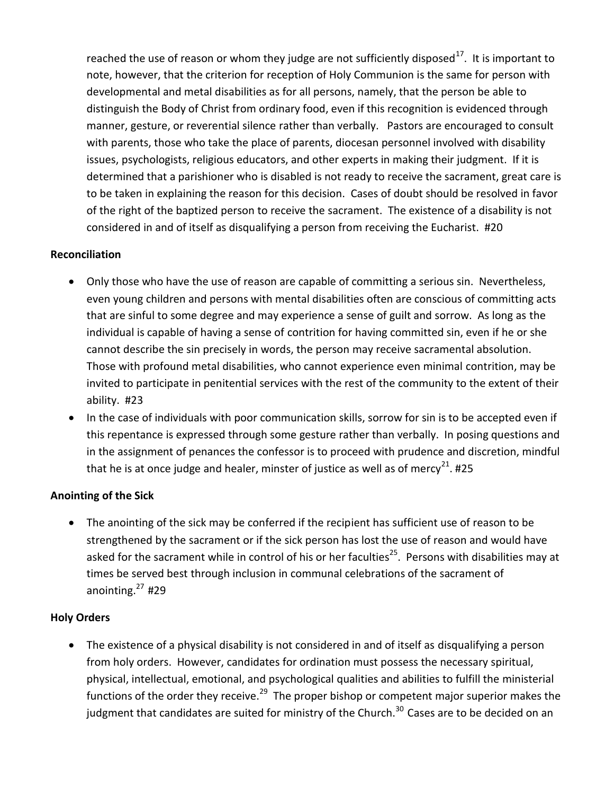reached the use of reason or whom they judge are not sufficiently disposed<sup>17</sup>. It is important to note, however, that the criterion for reception of Holy Communion is the same for person with developmental and metal disabilities as for all persons, namely, that the person be able to distinguish the Body of Christ from ordinary food, even if this recognition is evidenced through manner, gesture, or reverential silence rather than verbally. Pastors are encouraged to consult with parents, those who take the place of parents, diocesan personnel involved with disability issues, psychologists, religious educators, and other experts in making their judgment. If it is determined that a parishioner who is disabled is not ready to receive the sacrament, great care is to be taken in explaining the reason for this decision. Cases of doubt should be resolved in favor of the right of the baptized person to receive the sacrament. The existence of a disability is not considered in and of itself as disqualifying a person from receiving the Eucharist. #20

#### **Reconciliation**

- Only those who have the use of reason are capable of committing a serious sin. Nevertheless, even young children and persons with mental disabilities often are conscious of committing acts that are sinful to some degree and may experience a sense of guilt and sorrow. As long as the individual is capable of having a sense of contrition for having committed sin, even if he or she cannot describe the sin precisely in words, the person may receive sacramental absolution. Those with profound metal disabilities, who cannot experience even minimal contrition, may be invited to participate in penitential services with the rest of the community to the extent of their ability. #23
- In the case of individuals with poor communication skills, sorrow for sin is to be accepted even if this repentance is expressed through some gesture rather than verbally. In posing questions and in the assignment of penances the confessor is to proceed with prudence and discretion, mindful that he is at once judge and healer, minster of justice as well as of mercy<sup>21</sup>. #25

#### **Anointing of the Sick**

 The anointing of the sick may be conferred if the recipient has sufficient use of reason to be strengthened by the sacrament or if the sick person has lost the use of reason and would have asked for the sacrament while in control of his or her faculties<sup>25</sup>. Persons with disabilities may at times be served best through inclusion in communal celebrations of the sacrament of anointing. $27$ #29

#### **Holy Orders**

 The existence of a physical disability is not considered in and of itself as disqualifying a person from holy orders. However, candidates for ordination must possess the necessary spiritual, physical, intellectual, emotional, and psychological qualities and abilities to fulfill the ministerial functions of the order they receive.<sup>29</sup> The proper bishop or competent major superior makes the judgment that candidates are suited for ministry of the Church.<sup>30</sup> Cases are to be decided on an